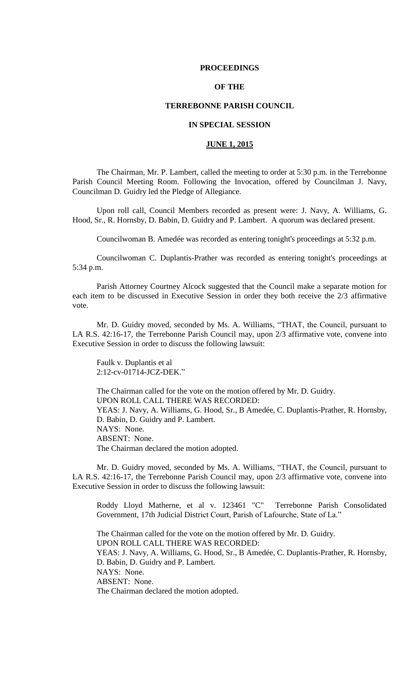#### **PROCEEDINGS**

## **OF THE**

### **TERREBONNE PARISH COUNCIL**

## **IN SPECIAL SESSION**

## **JUNE 1, 2015**

The Chairman, Mr. P. Lambert, called the meeting to order at 5:30 p.m. in the Terrebonne Parish Council Meeting Room. Following the Invocation, offered by Councilman J. Navy, Councilman D. Guidry led the Pledge of Allegiance.

Upon roll call, Council Members recorded as present were: J. Navy, A. Williams, G. Hood, Sr., R. Hornsby, D. Babin, D. Guidry and P. Lambert. A quorum was declared present.

Councilwoman B. Amedée was recorded as entering tonight's proceedings at 5:32 p.m.

Councilwoman C. Duplantis-Prather was recorded as entering tonight's proceedings at 5:34 p.m.

Parish Attorney Courtney Alcock suggested that the Council make a separate motion for each item to be discussed in Executive Session in order they both receive the 2/3 affirmative vote.

Mr. D. Guidry moved, seconded by Ms. A. Williams, "THAT, the Council, pursuant to LA R.S. 42:16-17, the Terrebonne Parish Council may, upon 2/3 affirmative vote, convene into Executive Session in order to discuss the following lawsuit:

Faulk v. Duplantis et al 2:12-cv-01714-JCZ-DEK."

The Chairman called for the vote on the motion offered by Mr. D. Guidry. UPON ROLL CALL THERE WAS RECORDED: YEAS: J. Navy, A. Williams, G. Hood, Sr., B Amedée, C. Duplantis-Prather, R. Hornsby, D. Babin, D. Guidry and P. Lambert. NAYS: None. ABSENT: None. The Chairman declared the motion adopted.

Mr. D. Guidry moved, seconded by Ms. A. Williams, "THAT, the Council, pursuant to LA R.S. 42:16-17, the Terrebonne Parish Council may, upon 2/3 affirmative vote, convene into Executive Session in order to discuss the following lawsuit:

Roddy Lloyd Matherne, et al v. 123461 "C" Terrebonne Parish Consolidated Government, 17th Judicial District Court, Parish of Lafourche, State of La."

The Chairman called for the vote on the motion offered by Mr. D. Guidry. UPON ROLL CALL THERE WAS RECORDED: YEAS: J. Navy, A. Williams, G. Hood, Sr., B Amedée, C. Duplantis-Prather, R. Hornsby, D. Babin, D. Guidry and P. Lambert. NAYS: None. ABSENT: None. The Chairman declared the motion adopted.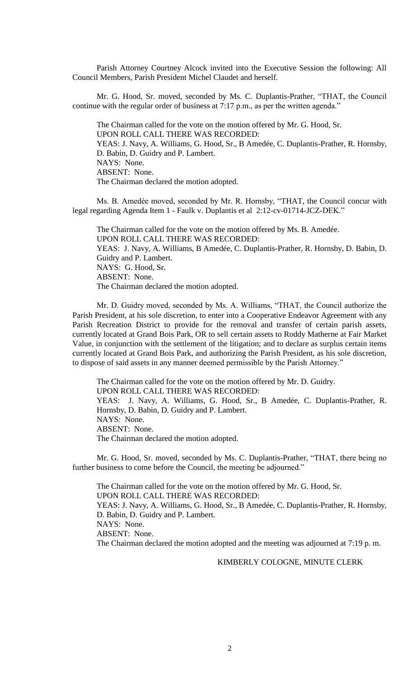Parish Attorney Courtney Alcock invited into the Executive Session the following: All Council Members, Parish President Michel Claudet and herself.

Mr. G. Hood, Sr. moved, seconded by Ms. C. Duplantis-Prather, "THAT, the Council continue with the regular order of business at 7:17 p.m., as per the written agenda."

The Chairman called for the vote on the motion offered by Mr. G. Hood, Sr. UPON ROLL CALL THERE WAS RECORDED: YEAS: J. Navy, A. Williams, G. Hood, Sr., B Amedée, C. Duplantis-Prather, R. Hornsby, D. Babin, D. Guidry and P. Lambert. NAYS: None. ABSENT: None. The Chairman declared the motion adopted.

Ms. B. Amedée moved, seconded by Mr. R. Hornsby, "THAT, the Council concur with legal regarding Agenda Item 1 - Faulk v. Duplantis et al 2:12-cv-01714-JCZ-DEK."

The Chairman called for the vote on the motion offered by Ms. B. Amedée. UPON ROLL CALL THERE WAS RECORDED: YEAS: J. Navy, A. Williams, B Amedée, C. Duplantis-Prather, R. Hornsby, D. Babin, D. Guidry and P. Lambert. NAYS: G. Hood, Sr. ABSENT: None. The Chairman declared the motion adopted.

Mr. D. Guidry moved, seconded by Ms. A. Williams, "THAT, the Council authorize the Parish President, at his sole discretion, to enter into a Cooperative Endeavor Agreement with any Parish Recreation District to provide for the removal and transfer of certain parish assets, currently located at Grand Bois Park, OR to sell certain assets to Roddy Matherne at Fair Market Value, in conjunction with the settlement of the litigation; and to declare as surplus certain items currently located at Grand Bois Park, and authorizing the Parish President, as his sole discretion, to dispose of said assets in any manner deemed permissible by the Parish Attorney."

The Chairman called for the vote on the motion offered by Mr. D. Guidry. UPON ROLL CALL THERE WAS RECORDED: YEAS: J. Navy, A. Williams, G. Hood, Sr., B Amedée, C. Duplantis-Prather, R. Hornsby, D. Babin, D. Guidry and P. Lambert. NAYS: None. ABSENT: None. The Chairman declared the motion adopted.

Mr. G. Hood, Sr. moved, seconded by Ms. C. Duplantis-Prather, "THAT, there being no further business to come before the Council, the meeting be adjourned."

The Chairman called for the vote on the motion offered by Mr. G. Hood, Sr. UPON ROLL CALL THERE WAS RECORDED: YEAS: J. Navy, A. Williams, G. Hood, Sr., B Amedée, C. Duplantis-Prather, R. Hornsby, D. Babin, D. Guidry and P. Lambert. NAYS: None. ABSENT: None. The Chairman declared the motion adopted and the meeting was adjourned at 7:19 p. m.

#### KIMBERLY COLOGNE, MINUTE CLERK